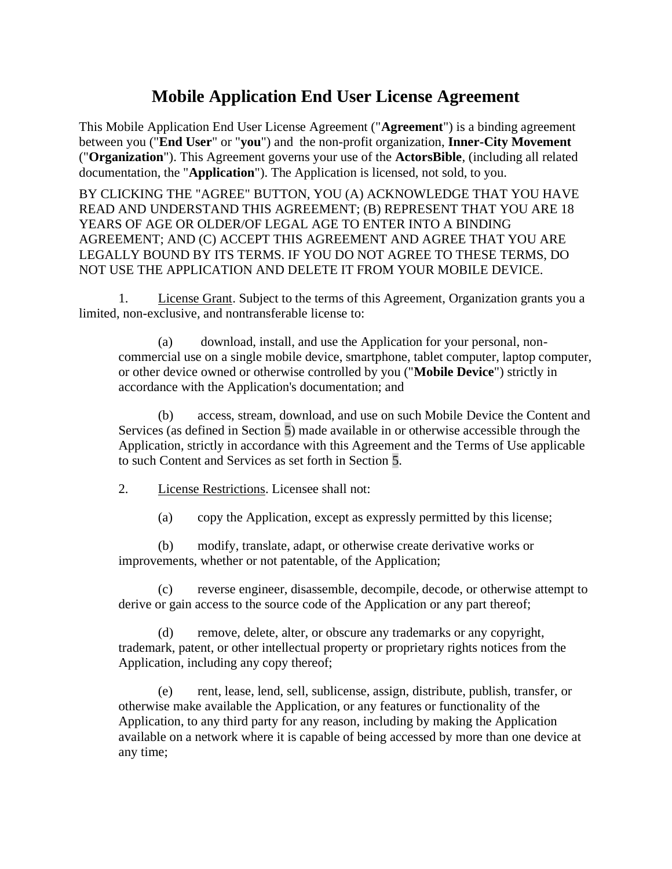## **Mobile Application End User License Agreement**

This Mobile Application End User License Agreement ("**Agreement**") is a binding agreement between you ("**End User**" or "**you**") and the non-profit organization, **Inner-City Movement** ("**Organization**"). This Agreement governs your use of the **ActorsBible**, (including all related documentation, the "**Application**"). The Application is licensed, not sold, to you.

BY CLICKING THE "AGREE" BUTTON, YOU (A) ACKNOWLEDGE THAT YOU HAVE READ AND UNDERSTAND THIS AGREEMENT; (B) REPRESENT THAT YOU ARE 18 YEARS OF AGE OR OLDER/OF LEGAL AGE TO ENTER INTO A BINDING AGREEMENT; AND (C) ACCEPT THIS AGREEMENT AND AGREE THAT YOU ARE LEGALLY BOUND BY ITS TERMS. IF YOU DO NOT AGREE TO THESE TERMS, DO NOT USE THE APPLICATION AND DELETE IT FROM YOUR MOBILE DEVICE.

1. License Grant. Subject to the terms of this Agreement, Organization grants you a limited, non-exclusive, and nontransferable license to:

(a) download, install, and use the Application for your personal, noncommercial use on a single mobile device, smartphone, tablet computer, laptop computer, or other device owned or otherwise controlled by you ("**Mobile Device**") strictly in accordance with the Application's documentation; and

(b) access, stream, download, and use on such Mobile Device the Content and Services (as defined in Section [5\)](#page-1-0) made available in or otherwise accessible through the Application, strictly in accordance with this Agreement and the Terms of Use applicable to such Content and Services as set forth in Section [5.](#page-1-0)

2. License Restrictions. Licensee shall not:

(a) copy the Application, except as expressly permitted by this license;

(b) modify, translate, adapt, or otherwise create derivative works or improvements, whether or not patentable, of the Application;

(c) reverse engineer, disassemble, decompile, decode, or otherwise attempt to derive or gain access to the source code of the Application or any part thereof;

(d) remove, delete, alter, or obscure any trademarks or any copyright, trademark, patent, or other intellectual property or proprietary rights notices from the Application, including any copy thereof;

(e) rent, lease, lend, sell, sublicense, assign, distribute, publish, transfer, or otherwise make available the Application, or any features or functionality of the Application, to any third party for any reason, including by making the Application available on a network where it is capable of being accessed by more than one device at any time;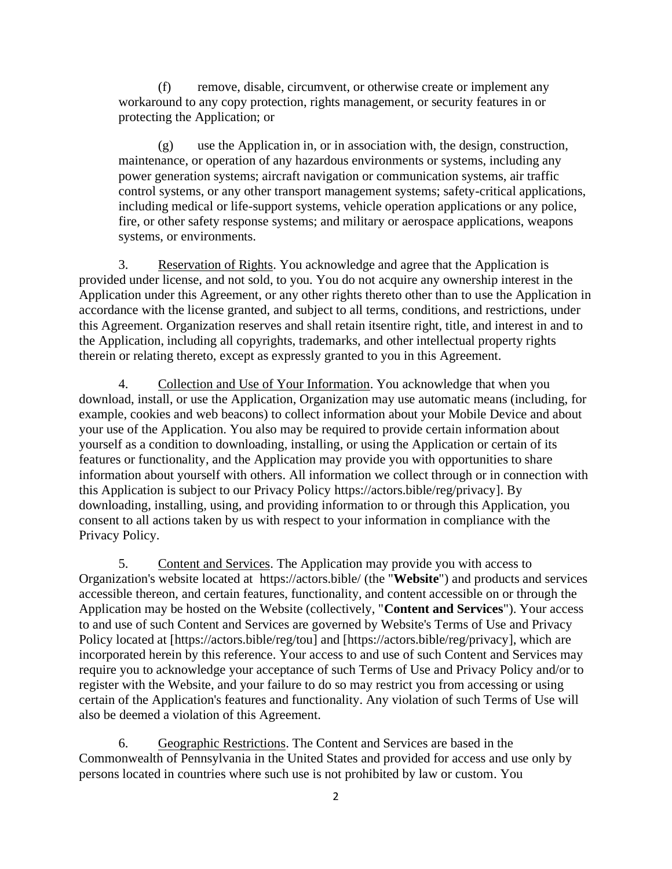(f) remove, disable, circumvent, or otherwise create or implement any workaround to any copy protection, rights management, or security features in or protecting the Application; or

(g) use the Application in, or in association with, the design, construction, maintenance, or operation of any hazardous environments or systems, including any power generation systems; aircraft navigation or communication systems, air traffic control systems, or any other transport management systems; safety-critical applications, including medical or life-support systems, vehicle operation applications or any police, fire, or other safety response systems; and military or aerospace applications, weapons systems, or environments.

3. Reservation of Rights. You acknowledge and agree that the Application is provided under license, and not sold, to you. You do not acquire any ownership interest in the Application under this Agreement, or any other rights thereto other than to use the Application in accordance with the license granted, and subject to all terms, conditions, and restrictions, under this Agreement. Organization reserves and shall retain itsentire right, title, and interest in and to the Application, including all copyrights, trademarks, and other intellectual property rights therein or relating thereto, except as expressly granted to you in this Agreement.

4. Collection and Use of Your Information. You acknowledge that when you download, install, or use the Application, Organization may use automatic means (including, for example, cookies and web beacons) to collect information about your Mobile Device and about your use of the Application. You also may be required to provide certain information about yourself as a condition to downloading, installing, or using the Application or certain of its features or functionality, and the Application may provide you with opportunities to share information about yourself with others. All information we collect through or in connection with this Application is subject to our Privacy Policy https://actors.bible/reg/privacy]. By downloading, installing, using, and providing information to or through this Application, you consent to all actions taken by us with respect to your information in compliance with the Privacy Policy.

<span id="page-1-0"></span>5. Content and Services. The Application may provide you with access to Organization's website located at https://actors.bible/ (the "**Website**") and products and services accessible thereon, and certain features, functionality, and content accessible on or through the Application may be hosted on the Website (collectively, "**Content and Services**"). Your access to and use of such Content and Services are governed by Website's Terms of Use and Privacy Policy located at [https://actors.bible/reg/tou] and [https://actors.bible/reg/privacy], which are incorporated herein by this reference. Your access to and use of such Content and Services may require you to acknowledge your acceptance of such Terms of Use and Privacy Policy and/or to register with the Website, and your failure to do so may restrict you from accessing or using certain of the Application's features and functionality. Any violation of such Terms of Use will also be deemed a violation of this Agreement.

6. Geographic Restrictions. The Content and Services are based in the Commonwealth of Pennsylvania in the United States and provided for access and use only by persons located in countries where such use is not prohibited by law or custom. You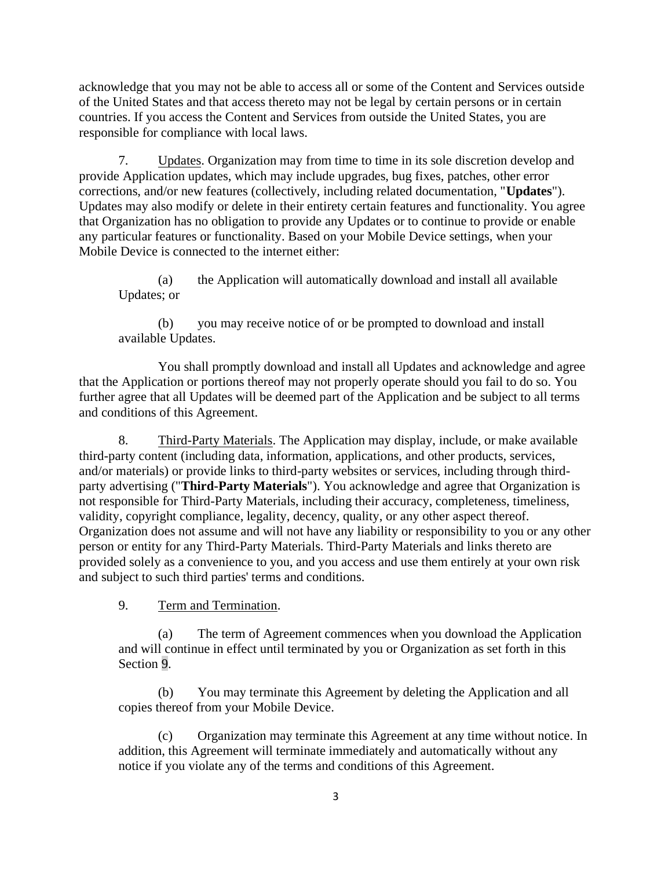acknowledge that you may not be able to access all or some of the Content and Services outside of the United States and that access thereto may not be legal by certain persons or in certain countries. If you access the Content and Services from outside the United States, you are responsible for compliance with local laws.

7. Updates. Organization may from time to time in its sole discretion develop and provide Application updates, which may include upgrades, bug fixes, patches, other error corrections, and/or new features (collectively, including related documentation, "**Updates**"). Updates may also modify or delete in their entirety certain features and functionality. You agree that Organization has no obligation to provide any Updates or to continue to provide or enable any particular features or functionality. Based on your Mobile Device settings, when your Mobile Device is connected to the internet either:

(a) the Application will automatically download and install all available Updates; or

(b) you may receive notice of or be prompted to download and install available Updates.

You shall promptly download and install all Updates and acknowledge and agree that the Application or portions thereof may not properly operate should you fail to do so. You further agree that all Updates will be deemed part of the Application and be subject to all terms and conditions of this Agreement.

8. Third-Party Materials. The Application may display, include, or make available third-party content (including data, information, applications, and other products, services, and/or materials) or provide links to third-party websites or services, including through thirdparty advertising ("**Third-Party Materials**"). You acknowledge and agree that Organization is not responsible for Third-Party Materials, including their accuracy, completeness, timeliness, validity, copyright compliance, legality, decency, quality, or any other aspect thereof. Organization does not assume and will not have any liability or responsibility to you or any other person or entity for any Third-Party Materials. Third-Party Materials and links thereto are provided solely as a convenience to you, and you access and use them entirely at your own risk and subject to such third parties' terms and conditions.

<span id="page-2-0"></span>9. Term and Termination.

(a) The term of Agreement commences when you download the Application and will continue in effect until terminated by you or Organization as set forth in this Section [9.](#page-2-0)

(b) You may terminate this Agreement by deleting the Application and all copies thereof from your Mobile Device.

(c) Organization may terminate this Agreement at any time without notice. In addition, this Agreement will terminate immediately and automatically without any notice if you violate any of the terms and conditions of this Agreement.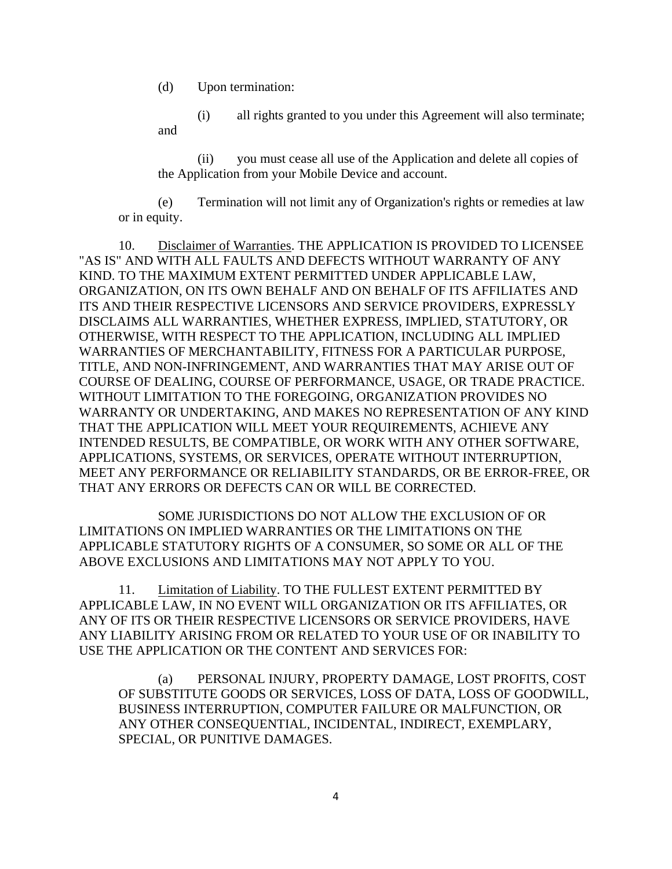(d) Upon termination:

(i) all rights granted to you under this Agreement will also terminate; and

(ii) you must cease all use of the Application and delete all copies of the Application from your Mobile Device and account.

(e) Termination will not limit any of Organization's rights or remedies at law or in equity.

10. Disclaimer of Warranties. THE APPLICATION IS PROVIDED TO LICENSEE "AS IS" AND WITH ALL FAULTS AND DEFECTS WITHOUT WARRANTY OF ANY KIND. TO THE MAXIMUM EXTENT PERMITTED UNDER APPLICABLE LAW, ORGANIZATION, ON ITS OWN BEHALF AND ON BEHALF OF ITS AFFILIATES AND ITS AND THEIR RESPECTIVE LICENSORS AND SERVICE PROVIDERS, EXPRESSLY DISCLAIMS ALL WARRANTIES, WHETHER EXPRESS, IMPLIED, STATUTORY, OR OTHERWISE, WITH RESPECT TO THE APPLICATION, INCLUDING ALL IMPLIED WARRANTIES OF MERCHANTABILITY, FITNESS FOR A PARTICULAR PURPOSE, TITLE, AND NON-INFRINGEMENT, AND WARRANTIES THAT MAY ARISE OUT OF COURSE OF DEALING, COURSE OF PERFORMANCE, USAGE, OR TRADE PRACTICE. WITHOUT LIMITATION TO THE FOREGOING, ORGANIZATION PROVIDES NO WARRANTY OR UNDERTAKING, AND MAKES NO REPRESENTATION OF ANY KIND THAT THE APPLICATION WILL MEET YOUR REQUIREMENTS, ACHIEVE ANY INTENDED RESULTS, BE COMPATIBLE, OR WORK WITH ANY OTHER SOFTWARE, APPLICATIONS, SYSTEMS, OR SERVICES, OPERATE WITHOUT INTERRUPTION, MEET ANY PERFORMANCE OR RELIABILITY STANDARDS, OR BE ERROR-FREE, OR THAT ANY ERRORS OR DEFECTS CAN OR WILL BE CORRECTED.

SOME JURISDICTIONS DO NOT ALLOW THE EXCLUSION OF OR LIMITATIONS ON IMPLIED WARRANTIES OR THE LIMITATIONS ON THE APPLICABLE STATUTORY RIGHTS OF A CONSUMER, SO SOME OR ALL OF THE ABOVE EXCLUSIONS AND LIMITATIONS MAY NOT APPLY TO YOU.

11. Limitation of Liability. TO THE FULLEST EXTENT PERMITTED BY APPLICABLE LAW, IN NO EVENT WILL ORGANIZATION OR ITS AFFILIATES, OR ANY OF ITS OR THEIR RESPECTIVE LICENSORS OR SERVICE PROVIDERS, HAVE ANY LIABILITY ARISING FROM OR RELATED TO YOUR USE OF OR INABILITY TO USE THE APPLICATION OR THE CONTENT AND SERVICES FOR:

(a) PERSONAL INJURY, PROPERTY DAMAGE, LOST PROFITS, COST OF SUBSTITUTE GOODS OR SERVICES, LOSS OF DATA, LOSS OF GOODWILL, BUSINESS INTERRUPTION, COMPUTER FAILURE OR MALFUNCTION, OR ANY OTHER CONSEQUENTIAL, INCIDENTAL, INDIRECT, EXEMPLARY, SPECIAL, OR PUNITIVE DAMAGES.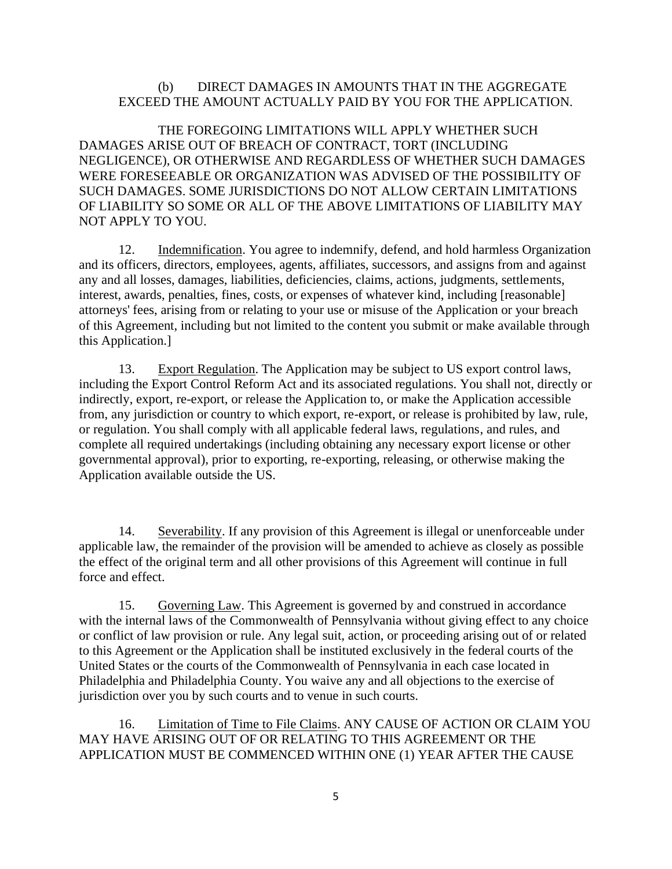## (b) DIRECT DAMAGES IN AMOUNTS THAT IN THE AGGREGATE EXCEED THE AMOUNT ACTUALLY PAID BY YOU FOR THE APPLICATION.

THE FOREGOING LIMITATIONS WILL APPLY WHETHER SUCH DAMAGES ARISE OUT OF BREACH OF CONTRACT, TORT (INCLUDING NEGLIGENCE), OR OTHERWISE AND REGARDLESS OF WHETHER SUCH DAMAGES WERE FORESEEABLE OR ORGANIZATION WAS ADVISED OF THE POSSIBILITY OF SUCH DAMAGES. SOME JURISDICTIONS DO NOT ALLOW CERTAIN LIMITATIONS OF LIABILITY SO SOME OR ALL OF THE ABOVE LIMITATIONS OF LIABILITY MAY NOT APPLY TO YOU.

12. Indemnification. You agree to indemnify, defend, and hold harmless Organization and its officers, directors, employees, agents, affiliates, successors, and assigns from and against any and all losses, damages, liabilities, deficiencies, claims, actions, judgments, settlements, interest, awards, penalties, fines, costs, or expenses of whatever kind, including [reasonable] attorneys' fees, arising from or relating to your use or misuse of the Application or your breach of this Agreement, including but not limited to the content you submit or make available through this Application.]

13. Export Regulation. The Application may be subject to US export control laws, including the Export Control Reform Act and its associated regulations. You shall not, directly or indirectly, export, re-export, or release the Application to, or make the Application accessible from, any jurisdiction or country to which export, re-export, or release is prohibited by law, rule, or regulation. You shall comply with all applicable federal laws, regulations, and rules, and complete all required undertakings (including obtaining any necessary export license or other governmental approval), prior to exporting, re-exporting, releasing, or otherwise making the Application available outside the US.

14. Severability. If any provision of this Agreement is illegal or unenforceable under applicable law, the remainder of the provision will be amended to achieve as closely as possible the effect of the original term and all other provisions of this Agreement will continue in full force and effect.

15. Governing Law. This Agreement is governed by and construed in accordance with the internal laws of the Commonwealth of Pennsylvania without giving effect to any choice or conflict of law provision or rule. Any legal suit, action, or proceeding arising out of or related to this Agreement or the Application shall be instituted exclusively in the federal courts of the United States or the courts of the Commonwealth of Pennsylvania in each case located in Philadelphia and Philadelphia County. You waive any and all objections to the exercise of jurisdiction over you by such courts and to venue in such courts.

16. Limitation of Time to File Claims. ANY CAUSE OF ACTION OR CLAIM YOU MAY HAVE ARISING OUT OF OR RELATING TO THIS AGREEMENT OR THE APPLICATION MUST BE COMMENCED WITHIN ONE (1) YEAR AFTER THE CAUSE